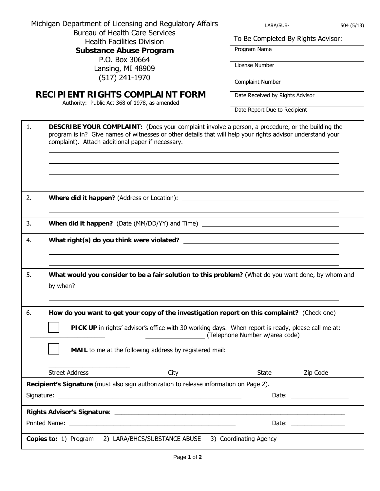| Michigan Department of Licensing and Regulatory Affairs<br><b>Bureau of Health Care Services</b><br><b>Health Facilities Division</b><br><b>Substance Abuse Program</b><br>P.O. Box 30664<br>Lansing, MI 48909<br>$(517)$ 241-1970<br><b>RECIPIENT RIGHTS COMPLAINT FORM</b><br>Authority: Public Act 368 of 1978, as amended | LARA/SUB-<br>504(5/13)<br>To Be Completed By Rights Advisor:<br>Program Name<br>License Number<br><b>Complaint Number</b><br>Date Received by Rights Advisor<br>Date Report Due to Recipient                                                                                                                                                                                                                             |
|-------------------------------------------------------------------------------------------------------------------------------------------------------------------------------------------------------------------------------------------------------------------------------------------------------------------------------|--------------------------------------------------------------------------------------------------------------------------------------------------------------------------------------------------------------------------------------------------------------------------------------------------------------------------------------------------------------------------------------------------------------------------|
| <b>DESCRIBE YOUR COMPLAINT:</b> (Does your complaint involve a person, a procedure, or the building the<br>1.<br>program is in? Give names of witnesses or other details that will help your rights advisor understand your<br>complaint). Attach additional paper if necessary.                                              |                                                                                                                                                                                                                                                                                                                                                                                                                          |
| 2.                                                                                                                                                                                                                                                                                                                            |                                                                                                                                                                                                                                                                                                                                                                                                                          |
| 3.<br>When did it happen? (Date (MM/DD/YY) and Time)                                                                                                                                                                                                                                                                          |                                                                                                                                                                                                                                                                                                                                                                                                                          |
| 4.                                                                                                                                                                                                                                                                                                                            |                                                                                                                                                                                                                                                                                                                                                                                                                          |
| 5.<br>What would you consider to be a fair solution to this problem? (What do you want done, by whom and<br>by when? $\qquad \qquad$                                                                                                                                                                                          |                                                                                                                                                                                                                                                                                                                                                                                                                          |
| How do you want to get your copy of the investigation report on this complaint? (Check one)<br>6.<br>PICK UP in rights' advisor's office with 30 working days. When report is ready, please call me at:<br>(Telephone Number w/area code)<br>MAIL to me at the following address by registered mail:                          |                                                                                                                                                                                                                                                                                                                                                                                                                          |
| <b>Street Address</b><br>City                                                                                                                                                                                                                                                                                                 | Zip Code<br>State                                                                                                                                                                                                                                                                                                                                                                                                        |
| Recipient's Signature (must also sign authorization to release information on Page 2).                                                                                                                                                                                                                                        | Date: the contract of the contract of the contract of the contract of the contract of the contract of the contract of the contract of the contract of the contract of the contract of the contract of the contract of the cont                                                                                                                                                                                           |
|                                                                                                                                                                                                                                                                                                                               |                                                                                                                                                                                                                                                                                                                                                                                                                          |
|                                                                                                                                                                                                                                                                                                                               | Date: $\frac{1}{\sqrt{1-\frac{1}{2}}}\frac{1}{\sqrt{1-\frac{1}{2}}}\frac{1}{\sqrt{1-\frac{1}{2}}}\frac{1}{\sqrt{1-\frac{1}{2}}}\frac{1}{\sqrt{1-\frac{1}{2}}}\frac{1}{\sqrt{1-\frac{1}{2}}}\frac{1}{\sqrt{1-\frac{1}{2}}}\frac{1}{\sqrt{1-\frac{1}{2}}}\frac{1}{\sqrt{1-\frac{1}{2}}}\frac{1}{\sqrt{1-\frac{1}{2}}}\frac{1}{\sqrt{1-\frac{1}{2}}}\frac{1}{\sqrt{1-\frac{1}{2}}}\frac{1}{\sqrt{1-\frac{1}{2}}}\frac{1}{\$ |
| Copies to: 1) Program 2) LARA/BHCS/SUBSTANCE ABUSE 3) Coordinating Agency                                                                                                                                                                                                                                                     |                                                                                                                                                                                                                                                                                                                                                                                                                          |